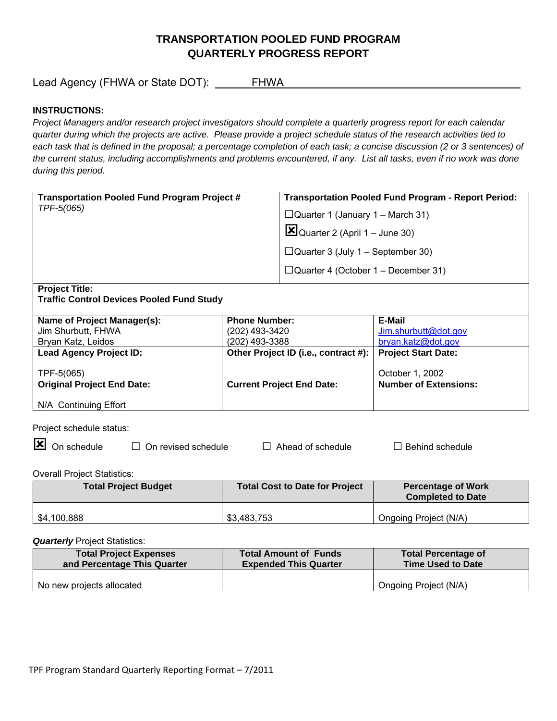# **TRANSPORTATION POOLED FUND PROGRAM QUARTERLY PROGRESS REPORT**

Lead Agency (FHWA or State DOT): \_\_\_\_\_\_FHWA\_\_\_\_\_\_\_\_\_\_\_\_\_\_\_\_\_\_\_\_\_\_\_\_\_\_\_\_\_\_\_\_\_\_\_\_\_\_\_

## **INSTRUCTIONS:**

*Project Managers and/or research project investigators should complete a quarterly progress report for each calendar quarter during which the projects are active. Please provide a project schedule status of the research activities tied to*  each task that is defined in the proposal; a percentage completion of each task; a concise discussion (2 or 3 sentences) of *the current status, including accomplishments and problems encountered, if any. List all tasks, even if no work was done during this period.* 

| <b>Transportation Pooled Fund Program Project #</b><br>TPF-5(065) | <b>Transportation Pooled Fund Program - Report Period:</b> |  |
|-------------------------------------------------------------------|------------------------------------------------------------|--|
|                                                                   | $\Box$ Quarter 1 (January 1 – March 31)                    |  |
|                                                                   | $\mathbf{Z}$ Quarter 2 (April 1 – June 30)                 |  |
|                                                                   | $\Box$ Quarter 3 (July 1 – September 30)                   |  |
|                                                                   | $\Box$ Quarter 4 (October 1 – December 31)                 |  |
| <b>Project Title:</b>                                             |                                                            |  |

**Traffic Control Devices Pooled Fund Study** 

| Name of Project Manager(s):       | <b>Phone Number:</b>                 | E-Mail                       |
|-----------------------------------|--------------------------------------|------------------------------|
| Jim Shurbutt, FHWA                | (202) 493-3420                       | Jim.shurbutt@dot.gov         |
| Bryan Katz, Leidos                | (202) 493-3388                       | bryan.katz@dot.gov           |
| <b>Lead Agency Project ID:</b>    | Other Project ID (i.e., contract #): | <b>Project Start Date:</b>   |
|                                   |                                      |                              |
| TPF-5(065)                        |                                      | October 1, 2002              |
| <b>Original Project End Date:</b> | <b>Current Project End Date:</b>     | <b>Number of Extensions:</b> |
|                                   |                                      |                              |
| N/A Continuing Effort             |                                      |                              |

Project schedule status:

On schedule □ On revised schedule □ Ahead of schedule □ Behind schedule

Overall Project Statistics:

| <b>Total Project Budget</b> | <b>Total Cost to Date for Project</b> | <b>Percentage of Work</b><br><b>Completed to Date</b> |
|-----------------------------|---------------------------------------|-------------------------------------------------------|
| \$4,100,888                 | \$3,483,753                           | Ongoing Project (N/A)                                 |

**Quarterly** Project Statistics:

| <b>Total Project Expenses</b> | <b>Total Amount of Funds</b> | <b>Total Percentage of</b> |
|-------------------------------|------------------------------|----------------------------|
| and Percentage This Quarter   | <b>Expended This Quarter</b> | Time Used to Date          |
| No new projects allocated     |                              | Ongoing Project (N/A)      |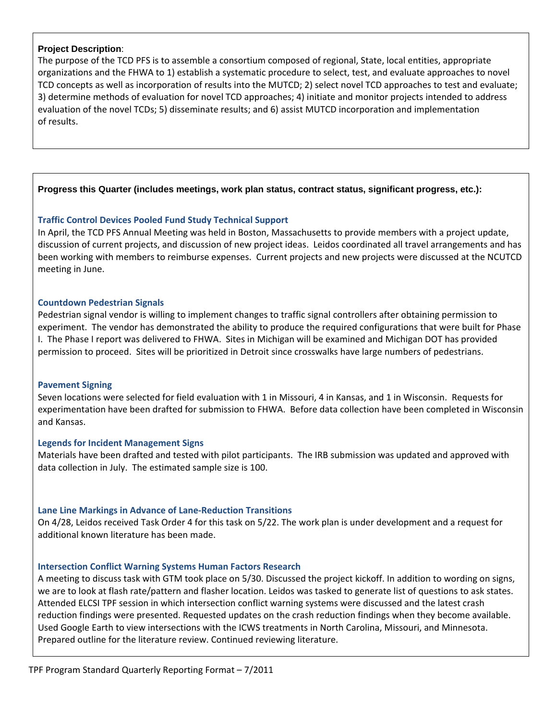### **Project Description**:

The purpose of the TCD PFS is to assemble a consortium composed of regional, State, local entities, appropriate organizations and the FHWA to 1) establish a systematic procedure to select, test, and evaluate approaches to novel TCD concepts as well as incorporation of results into the MUTCD; 2) select novel TCD approaches to test and evaluate; 3) determine methods of evaluation for novel TCD approaches; 4) initiate and monitor projects intended to address evaluation of the novel TCDs; 5) disseminate results; and 6) assist MUTCD incorporation and implementation of results.

## **Progress this Quarter (includes meetings, work plan status, contract status, significant progress, etc.):**

## **Traffic Control Devices Pooled Fund Study Technical Support**

In April, the TCD PFS Annual Meeting was held in Boston, Massachusetts to provide members with a project update, discussion of current projects, and discussion of new project ideas. Leidos coordinated all travel arrangements and has been working with members to reimburse expenses. Current projects and new projects were discussed at the NCUTCD meeting in June.

## **Countdown Pedestrian Signals**

Pedestrian signal vendor is willing to implement changes to traffic signal controllers after obtaining permission to experiment. The vendor has demonstrated the ability to produce the required configurations that were built for Phase I. The Phase I report was delivered to FHWA. Sites in Michigan will be examined and Michigan DOT has provided permission to proceed. Sites will be prioritized in Detroit since crosswalks have large numbers of pedestrians.

## **Pavement Signing**

Seven locations were selected for field evaluation with 1 in Missouri, 4 in Kansas, and 1 in Wisconsin. Requests for experimentation have been drafted for submission to FHWA. Before data collection have been completed in Wisconsin and Kansas.

## **Legends for Incident Management Signs**

Materials have been drafted and tested with pilot participants. The IRB submission was updated and approved with data collection in July. The estimated sample size is 100.

## **Lane Line Markings in Advance of Lane‐Reduction Transitions**

On 4/28, Leidos received Task Order 4 for this task on 5/22. The work plan is under development and a request for additional known literature has been made.

## **Intersection Conflict Warning Systems Human Factors Research**

A meeting to discuss task with GTM took place on 5/30. Discussed the project kickoff. In addition to wording on signs, we are to look at flash rate/pattern and flasher location. Leidos was tasked to generate list of questions to ask states. Attended ELCSI TPF session in which intersection conflict warning systems were discussed and the latest crash reduction findings were presented. Requested updates on the crash reduction findings when they become available. Used Google Earth to view intersections with the ICWS treatments in North Carolina, Missouri, and Minnesota. Prepared outline for the literature review. Continued reviewing literature.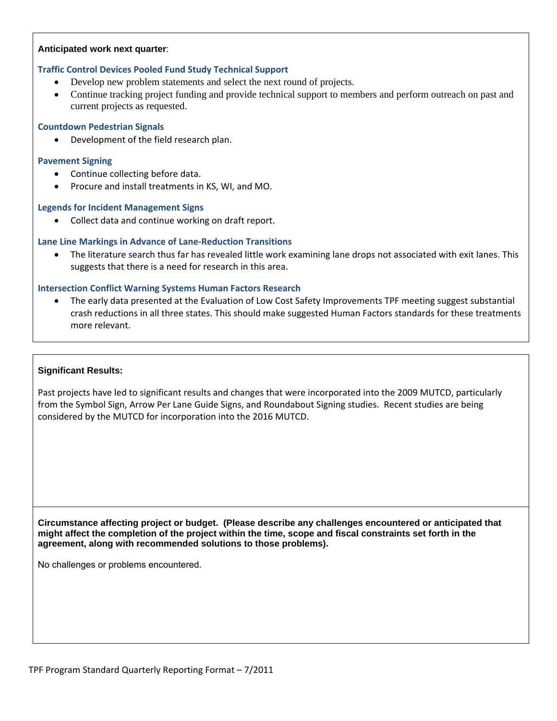### **Anticipated work next quarter**:

## **Traffic Control Devices Pooled Fund Study Technical Support**

- Develop new problem statements and select the next round of projects.
- Continue tracking project funding and provide technical support to members and perform outreach on past and current projects as requested.

#### **Countdown Pedestrian Signals**

Development of the field research plan.

### **Pavement Signing**

- Continue collecting before data.
- Procure and install treatments in KS, WI, and MO.

### **Legends for Incident Management Signs**

• Collect data and continue working on draft report.

## **Lane Line Markings in Advance of Lane‐Reduction Transitions**

 The literature search thus far has revealed little work examining lane drops not associated with exit lanes. This suggests that there is a need for research in this area.

## **Intersection Conflict Warning Systems Human Factors Research**

 The early data presented at the Evaluation of Low Cost Safety Improvements TPF meeting suggest substantial crash reductions in all three states. This should make suggested Human Factors standards for these treatments more relevant.

#### **Significant Results:**

Past projects have led to significant results and changes that were incorporated into the 2009 MUTCD, particularly from the Symbol Sign, Arrow Per Lane Guide Signs, and Roundabout Signing studies. Recent studies are being considered by the MUTCD for incorporation into the 2016 MUTCD.

**Circumstance affecting project or budget. (Please describe any challenges encountered or anticipated that might affect the completion of the project within the time, scope and fiscal constraints set forth in the agreement, along with recommended solutions to those problems).** 

No challenges or problems encountered.